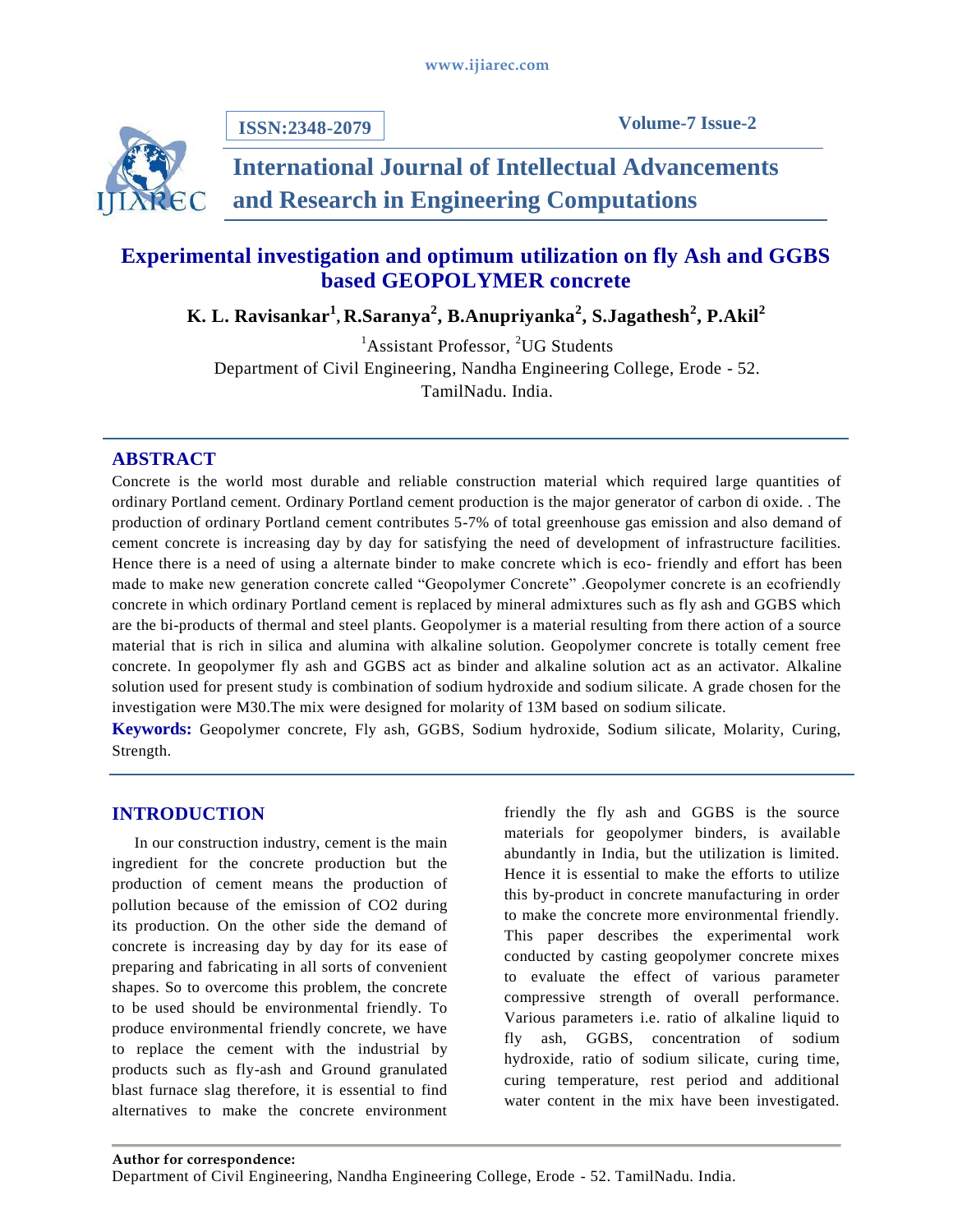**ISSN:2348-2079**



# **International Journal of Intellectual Advancements and Research in Engineering Computations**

## **Experimental investigation and optimum utilization on fly Ash and GGBS based GEOPOLYMER concrete**

**K. L. Ravisankar<sup>1</sup> , R.Saranya<sup>2</sup> , B.Anupriyanka<sup>2</sup> , S.Jagathesh<sup>2</sup> , P.Akil<sup>2</sup>**

 ${}^{1}$ Assistant Professor,  ${}^{2}UG$  Students Department of Civil Engineering, Nandha Engineering College, Erode - 52. TamilNadu. India.

## **ABSTRACT**

Concrete is the world most durable and reliable construction material which required large quantities of ordinary Portland cement. Ordinary Portland cement production is the major generator of carbon di oxide. . The production of ordinary Portland cement contributes 5-7% of total greenhouse gas emission and also demand of cement concrete is increasing day by day for satisfying the need of development of infrastructure facilities. Hence there is a need of using a alternate binder to make concrete which is eco- friendly and effort has been made to make new generation concrete called "Geopolymer Concrete" .Geopolymer concrete is an ecofriendly concrete in which ordinary Portland cement is replaced by mineral admixtures such as fly ash and GGBS which are the bi-products of thermal and steel plants. Geopolymer is a material resulting from there action of a source material that is rich in silica and alumina with alkaline solution. Geopolymer concrete is totally cement free concrete. In geopolymer fly ash and GGBS act as binder and alkaline solution act as an activator. Alkaline solution used for present study is combination of sodium hydroxide and sodium silicate. A grade chosen for the investigation were M30.The mix were designed for molarity of 13M based on sodium silicate.

**Keywords:** Geopolymer concrete, Fly ash, GGBS, Sodium hydroxide, Sodium silicate, Molarity, Curing, Strength.

## **INTRODUCTION**

In our construction industry, cement is the main ingredient for the concrete production but the production of cement means the production of pollution because of the emission of CO2 during its production. On the other side the demand of concrete is increasing day by day for its ease of preparing and fabricating in all sorts of convenient shapes. So to overcome this problem, the concrete to be used should be environmental friendly. To produce environmental friendly concrete, we have to replace the cement with the industrial by products such as fly-ash and Ground granulated blast furnace slag therefore, it is essential to find alternatives to make the concrete environment

friendly the fly ash and GGBS is the source materials for geopolymer binders, is available abundantly in India, but the utilization is limited. Hence it is essential to make the efforts to utilize this by-product in concrete manufacturing in order to make the concrete more environmental friendly. This paper describes the experimental work conducted by casting geopolymer concrete mixes to evaluate the effect of various parameter compressive strength of overall performance. Various parameters i.e. ratio of alkaline liquid to fly ash, GGBS, concentration of sodium hydroxide, ratio of sodium silicate, curing time, curing temperature, rest period and additional water content in the mix have been investigated.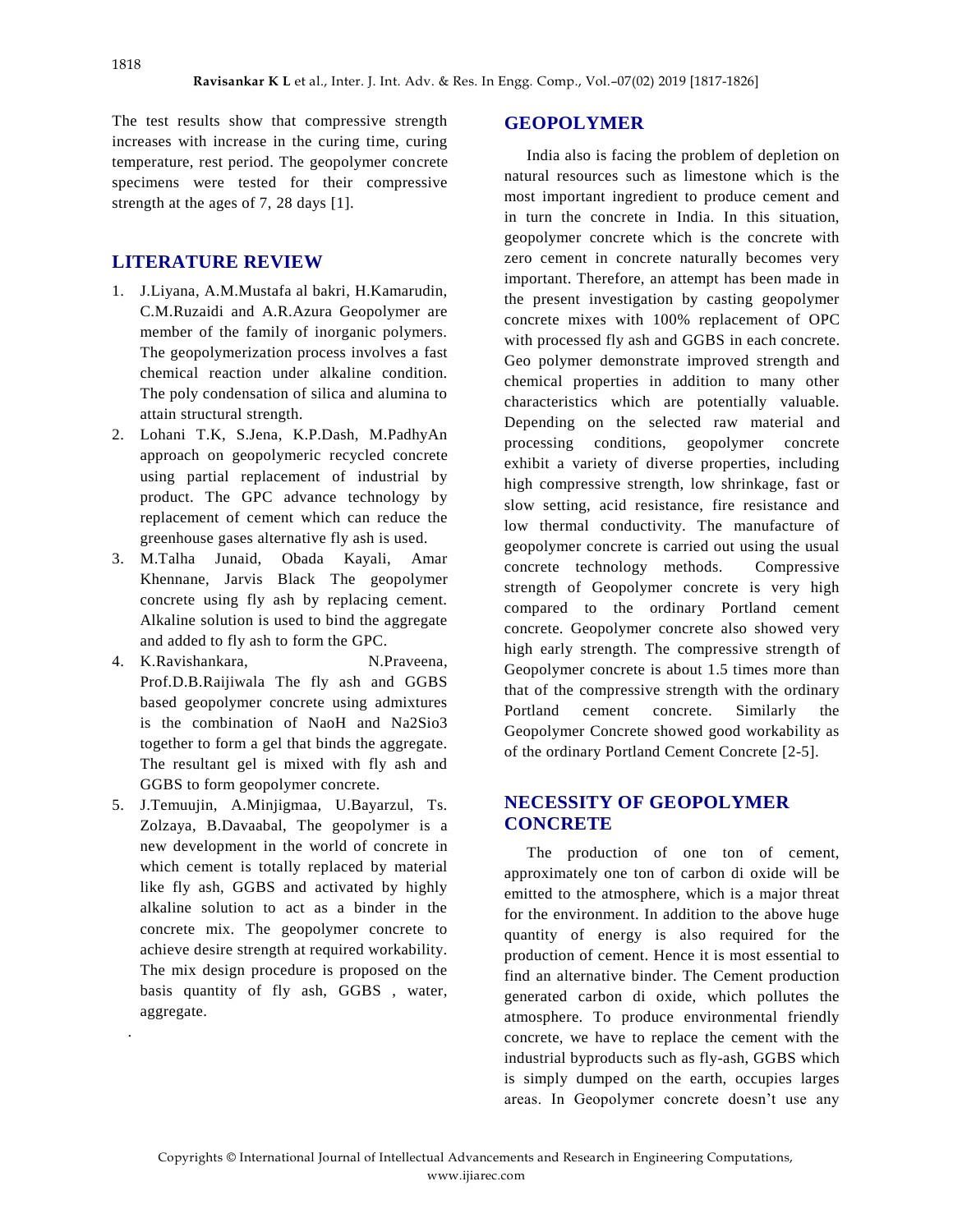The test results show that compressive strength increases with increase in the curing time, curing temperature, rest period. The geopolymer concrete specimens were tested for their compressive strength at the ages of 7, 28 days [1].

## **LITERATURE REVIEW**

- 1. J.Liyana, A.M.Mustafa al bakri, H.Kamarudin, C.M.Ruzaidi and A.R.Azura Geopolymer are member of the family of inorganic polymers. The geopolymerization process involves a fast chemical reaction under alkaline condition. The poly condensation of silica and alumina to attain structural strength.
- 2. Lohani T.K, S.Jena, K.P.Dash, M.PadhyAn approach on geopolymeric recycled concrete using partial replacement of industrial by product. The GPC advance technology by replacement of cement which can reduce the greenhouse gases alternative fly ash is used.
- 3. M.Talha Junaid, Obada Kayali, Amar Khennane, Jarvis Black The geopolymer concrete using fly ash by replacing cement. Alkaline solution is used to bind the aggregate and added to fly ash to form the GPC.
- 4. K.Ravishankara, N.Praveena, Prof.D.B.Raijiwala The fly ash and GGBS based geopolymer concrete using admixtures is the combination of NaoH and Na2Sio3 together to form a gel that binds the aggregate. The resultant gel is mixed with fly ash and GGBS to form geopolymer concrete.
- 5. J.Temuujin, A.Minjigmaa, U.Bayarzul, Ts. Zolzaya, B.Davaabal, The geopolymer is a new development in the world of concrete in which cement is totally replaced by material like fly ash, GGBS and activated by highly alkaline solution to act as a binder in the concrete mix. The geopolymer concrete to achieve desire strength at required workability. The mix design procedure is proposed on the basis quantity of fly ash, GGBS , water, aggregate.

.

#### **GEOPOLYMER**

India also is facing the problem of depletion on natural resources such as limestone which is the most important ingredient to produce cement and in turn the concrete in India. In this situation, geopolymer concrete which is the concrete with zero cement in concrete naturally becomes very important. Therefore, an attempt has been made in the present investigation by casting geopolymer concrete mixes with 100% replacement of OPC with processed fly ash and GGBS in each concrete. Geo polymer demonstrate improved strength and chemical properties in addition to many other characteristics which are potentially valuable. Depending on the selected raw material and processing conditions, geopolymer concrete exhibit a variety of diverse properties, including high compressive strength, low shrinkage, fast or slow setting, acid resistance, fire resistance and low thermal conductivity. The manufacture of geopolymer concrete is carried out using the usual concrete technology methods. Compressive strength of Geopolymer concrete is very high compared to the ordinary Portland cement concrete. Geopolymer concrete also showed very high early strength. The compressive strength of Geopolymer concrete is about 1.5 times more than that of the compressive strength with the ordinary Portland cement concrete. Similarly the Geopolymer Concrete showed good workability as of the ordinary Portland Cement Concrete [2-5].

## **NECESSITY OF GEOPOLYMER CONCRETE**

The production of one ton of cement, approximately one ton of carbon di oxide will be emitted to the atmosphere, which is a major threat for the environment. In addition to the above huge quantity of energy is also required for the production of cement. Hence it is most essential to find an alternative binder. The Cement production generated carbon di oxide, which pollutes the atmosphere. To produce environmental friendly concrete, we have to replace the cement with the industrial byproducts such as fly-ash, GGBS which is simply dumped on the earth, occupies larges areas. In Geopolymer concrete doesn't use any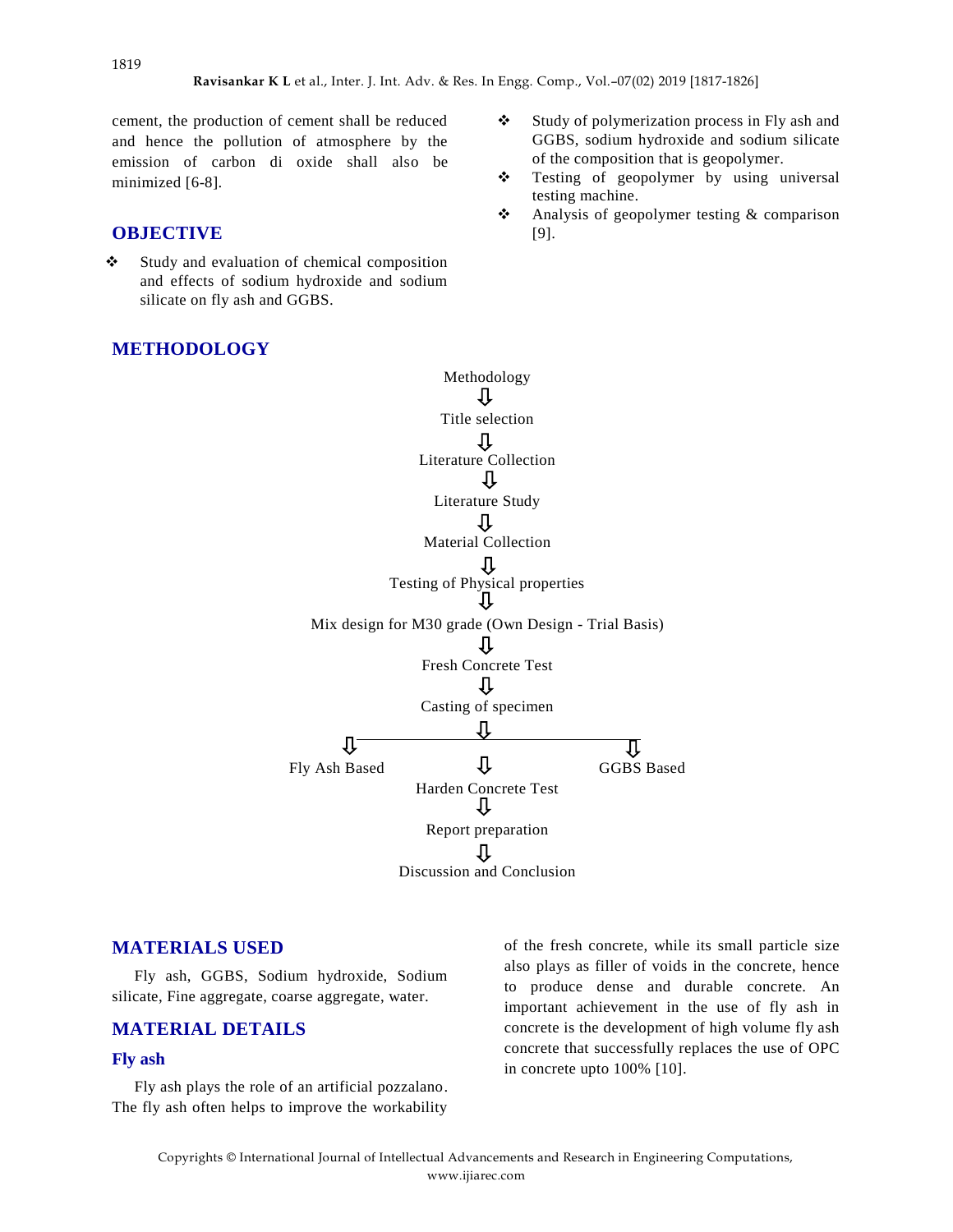cement, the production of cement shall be reduced and hence the pollution of atmosphere by the emission of carbon di oxide shall also be minimized [6-8].

## **OBJECTIVE**

 $\div$  Study and evaluation of chemical composition and effects of sodium hydroxide and sodium silicate on fly ash and GGBS.

#### **METHODOLOGY**

- Study of polymerization process in Fly ash and GGBS, sodium hydroxide and sodium silicate of the composition that is geopolymer.
- **❖** Testing of geopolymer by using universal testing machine.
- Analysis of geopolymer testing & comparison [9].

Methodology ⇩ Title selection 廿 Literature Collection ſJ Literature Study ſļ Material Collection Testing of Physical properties ſŀ Mix design for M30 grade (Own Design - Trial Basis) ſĻ Fresh Concrete Test ⊕ Casting of specimen Л Ľ, ग़ Fly Ash Based  $\overline{\mathbf{\mathsf{L}}}$  GGBS Based Harden Concrete Test ſſ Report preparation ſĻ Discussion and Conclusion

#### **MATERIALS USED**

Fly ash, GGBS, Sodium hydroxide, Sodium silicate, Fine aggregate, coarse aggregate, water.

### **MATERIAL DETAILS**

#### **Fly ash**

Fly ash plays the role of an artificial pozzalano. The fly ash often helps to improve the workability

of the fresh concrete, while its small particle size also plays as filler of voids in the concrete, hence to produce dense and durable concrete. An important achievement in the use of fly ash in concrete is the development of high volume fly ash concrete that successfully replaces the use of OPC in concrete upto 100% [10].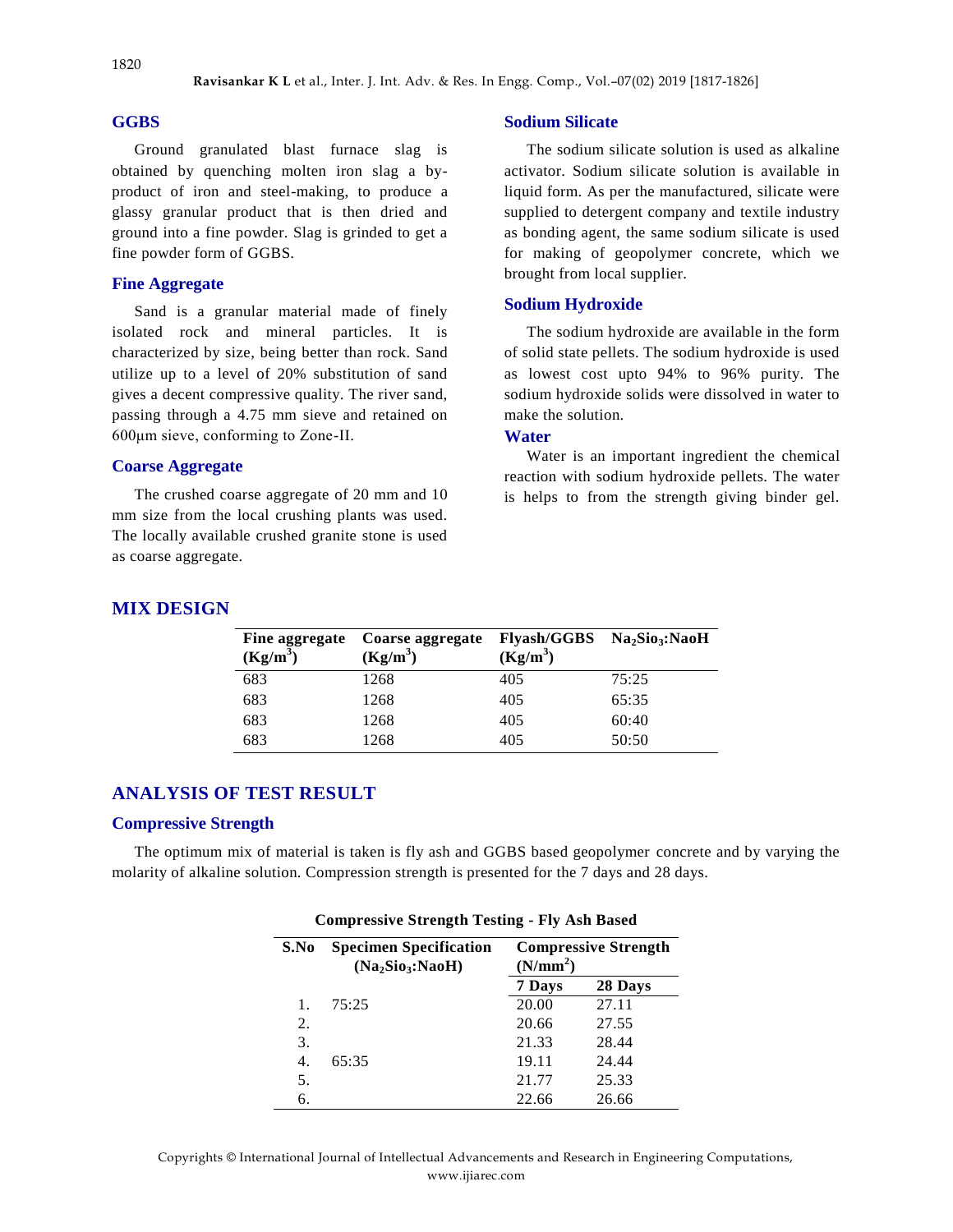#### **GGBS**

Ground granulated blast furnace slag is obtained by quenching molten iron slag a byproduct of iron and steel-making, to produce a glassy granular product that is then dried and ground into a fine powder. Slag is grinded to get a fine powder form of GGBS.

### **Fine Aggregate**

Sand is a granular material made of finely isolated rock and mineral particles. It is characterized by size, being better than rock. Sand utilize up to a level of 20% substitution of sand gives a decent compressive quality. The river sand, passing through a 4.75 mm sieve and retained on 600μm sieve, conforming to Zone-II.

#### **Coarse Aggregate**

The crushed coarse aggregate of 20 mm and 10 mm size from the local crushing plants was used. The locally available crushed granite stone is used as coarse aggregate.

#### **Sodium Silicate**

The sodium silicate solution is used as alkaline activator. Sodium silicate solution is available in liquid form. As per the manufactured, silicate were supplied to detergent company and textile industry as bonding agent, the same sodium silicate is used for making of geopolymer concrete, which we brought from local supplier.

#### **Sodium Hydroxide**

The sodium hydroxide are available in the form of solid state pellets. The sodium hydroxide is used as lowest cost upto 94% to 96% purity. The sodium hydroxide solids were dissolved in water to make the solution.

## **Water**

Water is an important ingredient the chemical reaction with sodium hydroxide pellets. The water is helps to from the strength giving binder gel.

#### **MIX DESIGN**

| Fine aggregate | Coarse aggregate | Flyash/GGBS Na <sub>2</sub> Sio <sub>3</sub> :NaoH |       |
|----------------|------------------|----------------------------------------------------|-------|
| $(Kg/m^3)$     | $(Kg/m^3)$       | $(Kg/m^3)$                                         |       |
| 683            | 1268             | 405                                                | 75:25 |
| 683            | 1268             | 405                                                | 65:35 |
| 683            | 1268             | 405                                                | 60:40 |
| 683            | 1268             | 405                                                | 50:50 |
|                |                  |                                                    |       |

## **ANALYSIS OF TEST RESULT**

#### **Compressive Strength**

The optimum mix of material is taken is fly ash and GGBS based geopolymer concrete and by varying the molarity of alkaline solution. Compression strength is presented for the 7 days and 28 days.

| S.No | <b>Specimen Specification</b><br>(Na <sub>2</sub> Sio <sub>3</sub> :NaoH) | <b>Compressive Strength</b><br>(N/mm <sup>2</sup> ) |         |
|------|---------------------------------------------------------------------------|-----------------------------------------------------|---------|
|      |                                                                           | 7 Days                                              | 28 Days |
|      | 75:25                                                                     | 20.00                                               | 27.11   |
| 2.   |                                                                           | 20.66                                               | 27.55   |
| 3.   |                                                                           | 21.33                                               | 28.44   |
| 4.   | 65:35                                                                     | 19.11                                               | 24.44   |
| 5.   |                                                                           | 21.77                                               | 25.33   |
| 6.   |                                                                           | 22.66                                               | 26.66   |

#### **Compressive Strength Testing - Fly Ash Based**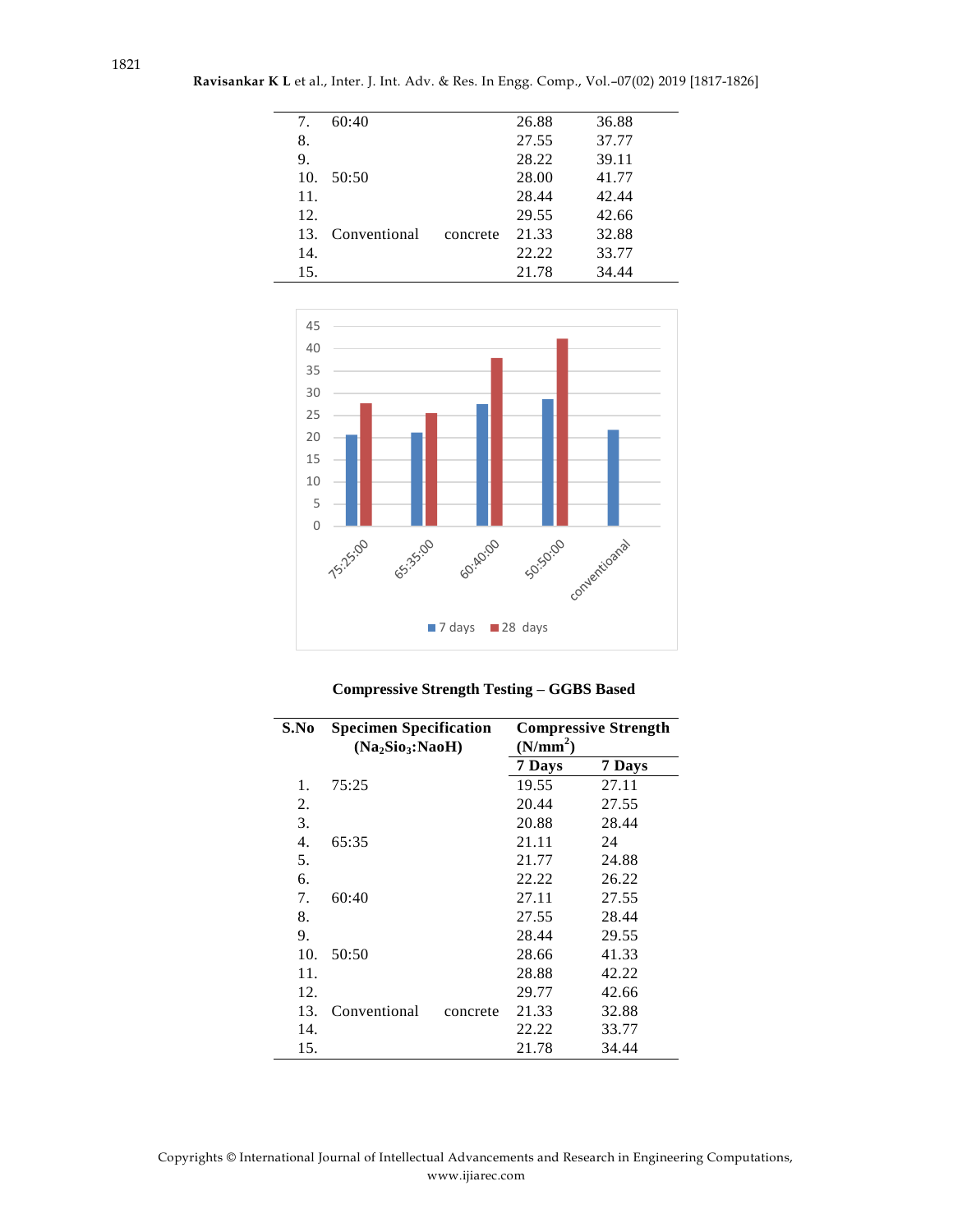| 7.  | 60:40            |          | 26.88 | 36.88 |  |
|-----|------------------|----------|-------|-------|--|
| 8.  |                  |          | 27.55 | 37.77 |  |
| 9.  |                  |          | 28.22 | 39.11 |  |
|     | 10.50:50         |          | 28.00 | 41.77 |  |
| 11. |                  |          | 28.44 | 42.44 |  |
| 12. |                  |          | 29.55 | 42.66 |  |
|     | 13. Conventional | concrete | 21.33 | 32.88 |  |
| 14. |                  |          | 22.22 | 33.77 |  |
| 15. |                  |          | 21.78 | 34.44 |  |



### **Compressive Strength Testing – GGBS Based**

| S.No | <b>Specimen Specification</b><br>(Na <sub>2</sub> Sio <sub>3</sub> :NaoH) |          | <b>Compressive Strength</b><br>(N/mm <sup>2</sup> ) |        |
|------|---------------------------------------------------------------------------|----------|-----------------------------------------------------|--------|
|      |                                                                           |          | 7 Days                                              | 7 Days |
| 1.   | 75:25                                                                     |          | 19.55                                               | 27.11  |
| 2.   |                                                                           |          | 20.44                                               | 27.55  |
| 3.   |                                                                           |          | 20.88                                               | 28.44  |
| 4.   | 65:35                                                                     |          | 21.11                                               | 24     |
| 5.   |                                                                           |          | 21.77                                               | 24.88  |
| 6.   |                                                                           |          | 22.22                                               | 26.22  |
| 7.   | 60:40                                                                     |          | 27.11                                               | 27.55  |
| 8.   |                                                                           |          | 27.55                                               | 28.44  |
| 9.   |                                                                           |          | 28.44                                               | 29.55  |
| 10.  | 50:50                                                                     |          | 28.66                                               | 41.33  |
| 11.  |                                                                           |          | 28.88                                               | 42.22  |
| 12.  |                                                                           |          | 29.77                                               | 42.66  |
| 13.  | Conventional                                                              | concrete | 21.33                                               | 32.88  |
| 14.  |                                                                           |          | 22.22                                               | 33.77  |
| 15.  |                                                                           |          | 21.78                                               | 34.44  |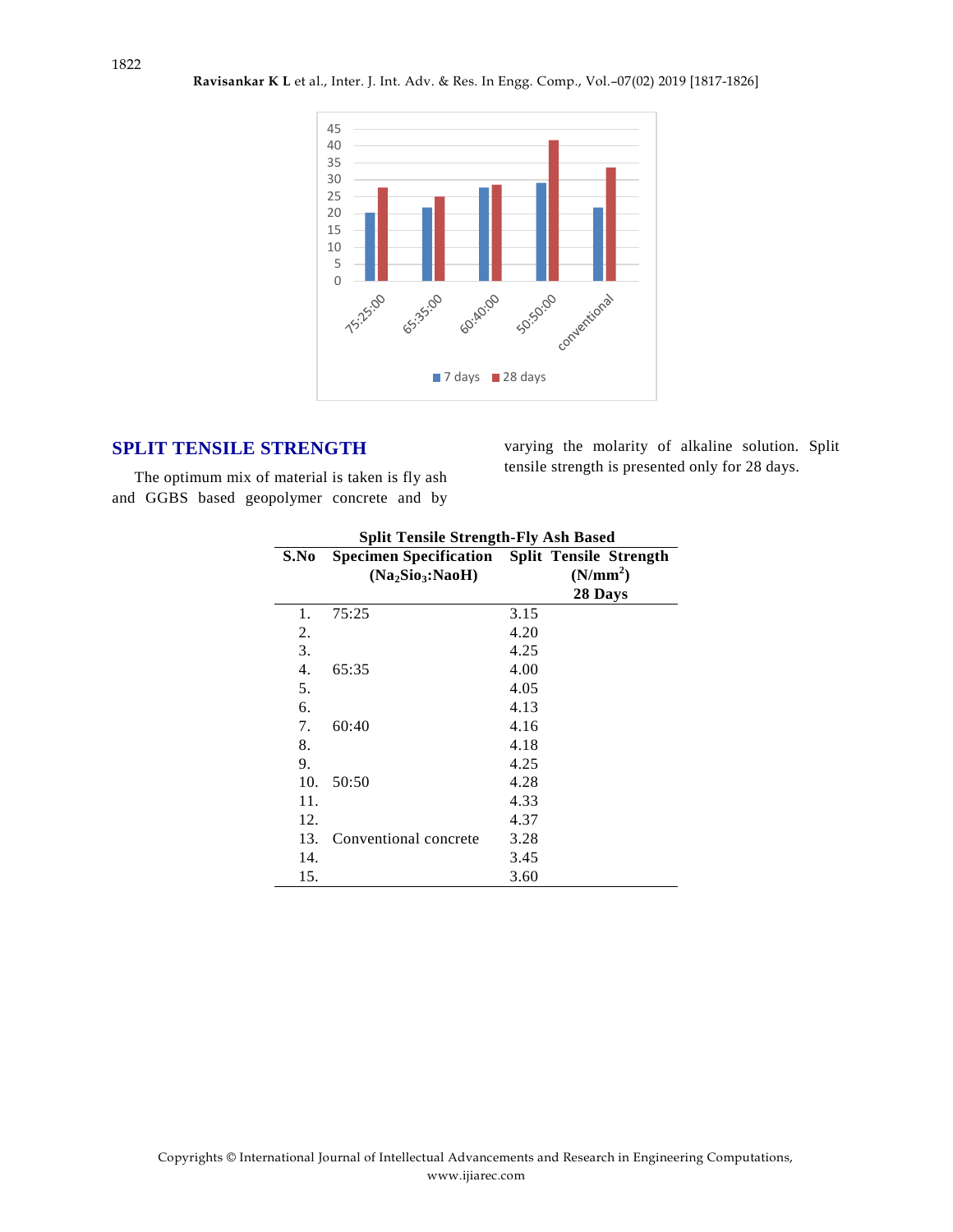

## **SPLIT TENSILE STRENGTH**

varying the molarity of alkaline solution. Split tensile strength is presented only for 28 days.

The optimum mix of material is taken is fly ash and GGBS based geopolymer concrete and by

| <b>Split Tensile Strength-Fly Ash Based</b> |                       |                                                      |
|---------------------------------------------|-----------------------|------------------------------------------------------|
| S.No                                        |                       | <b>Specimen Specification</b> Split Tensile Strength |
|                                             | $(Na_2Si_3:NaoH)$     | (N/mm <sup>2</sup> )                                 |
|                                             |                       | 28 Days                                              |
| 1.                                          | 75:25                 | 3.15                                                 |
| 2.                                          |                       | 4.20                                                 |
| 3.                                          |                       | 4.25                                                 |
| $\overline{4}$ .                            | 65:35                 | 4.00                                                 |
| 5.                                          |                       | 4.05                                                 |
| 6.                                          |                       | 4.13                                                 |
| 7.                                          | 60:40                 | 4.16                                                 |
| 8.                                          |                       | 4.18                                                 |
| 9.                                          |                       | 4.25                                                 |
| 10.                                         | 50:50                 | 4.28                                                 |
| 11.                                         |                       | 4.33                                                 |
| 12.                                         |                       | 4.37                                                 |
| 13.                                         | Conventional concrete | 3.28                                                 |
| 14.                                         |                       | 3.45                                                 |
| 15.                                         |                       | 3.60                                                 |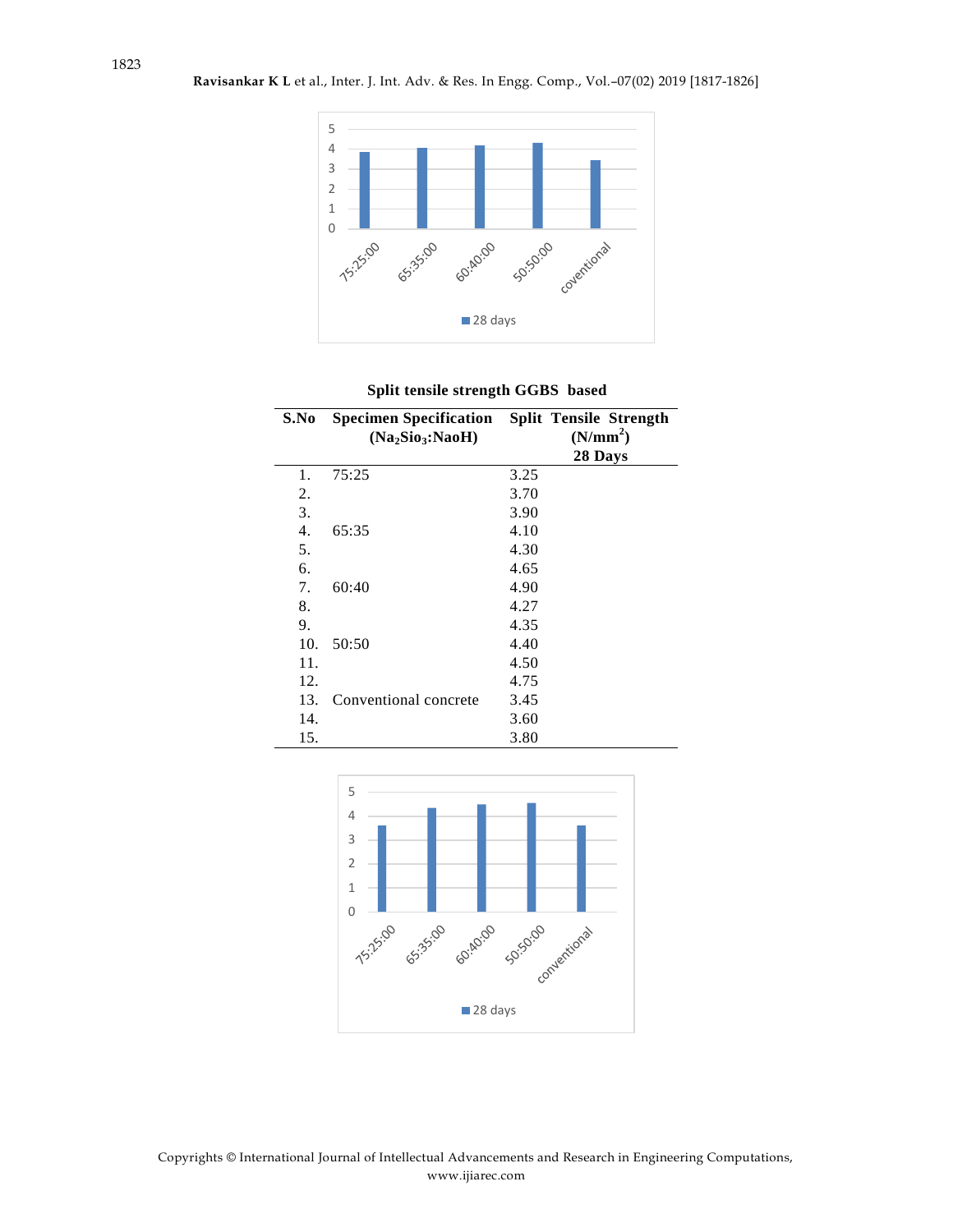

| Split tensile strength GGBS based |  |  |
|-----------------------------------|--|--|
|-----------------------------------|--|--|

| S.No             | <b>Specimen Specification</b> Split Tensile Strength<br>(Na <sub>2</sub> Sio <sub>3</sub> :NaoH) | (N/mm <sup>2</sup> ) |
|------------------|--------------------------------------------------------------------------------------------------|----------------------|
|                  |                                                                                                  | 28 Days              |
| 1.               | 75:25                                                                                            | 3.25                 |
| 2.               |                                                                                                  | 3.70                 |
| 3.               |                                                                                                  | 3.90                 |
| $\overline{4}$ . | 65:35                                                                                            | 4.10                 |
| 5.               |                                                                                                  | 4.30                 |
| 6.               |                                                                                                  | 4.65                 |
| 7.               | 60:40                                                                                            | 4.90                 |
| 8.               |                                                                                                  | 4.27                 |
| 9.               |                                                                                                  | 4.35                 |
| 10.              | 50:50                                                                                            | 4.40                 |
| 11.              |                                                                                                  | 4.50                 |
| 12.              |                                                                                                  | 4.75                 |
| 13.              | Conventional concrete                                                                            | 3.45                 |
| 14.              |                                                                                                  | 3.60                 |
| 15.              |                                                                                                  | 3.80                 |

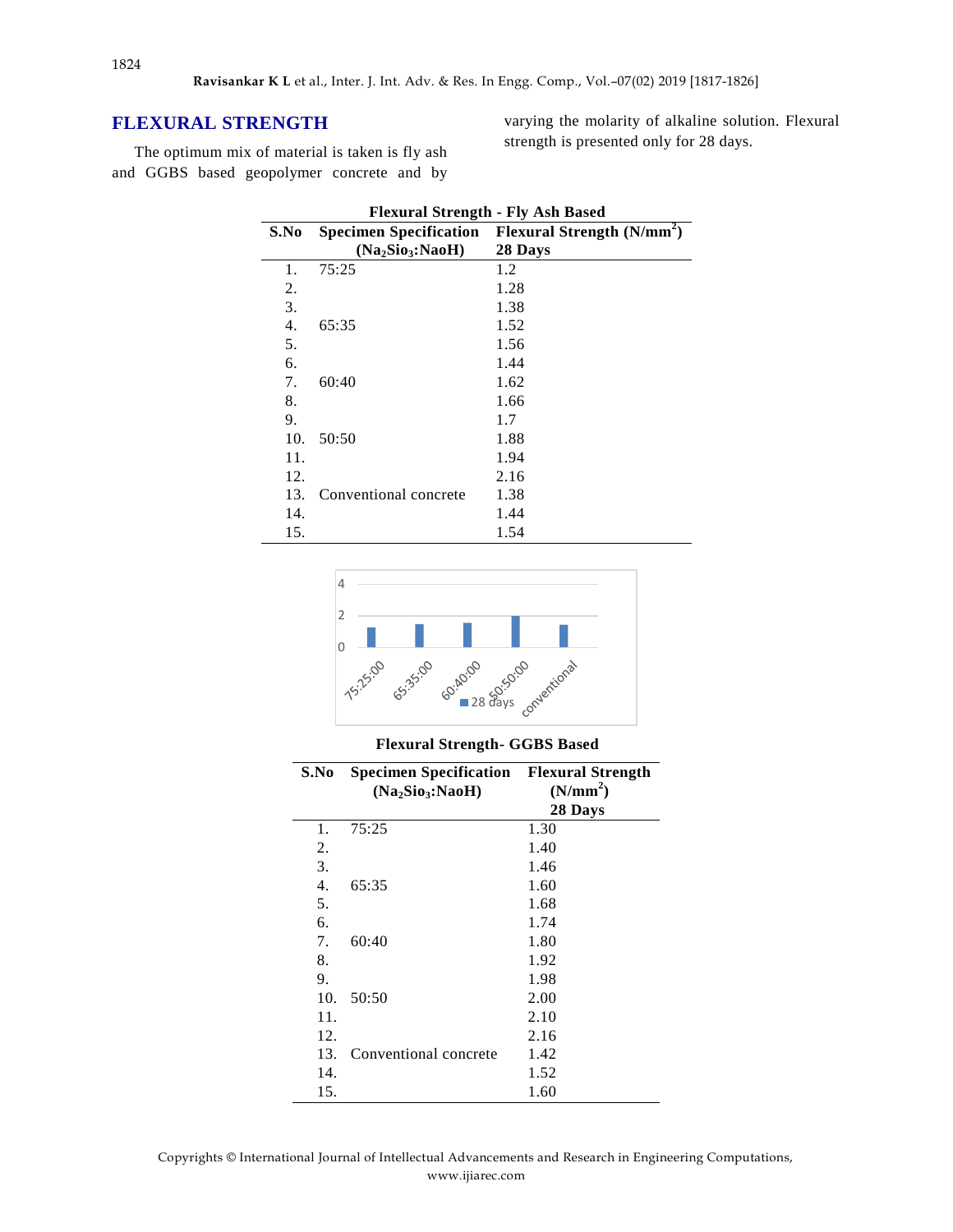## **FLEXURAL STRENGTH**

The optimum mix of material is taken is fly ash and GGBS based geopolymer concrete and by varying the molarity of alkaline solution. Flexural strength is presented only for 28 days.

| <b>Flexural Strength - Fly Ash Based</b> |                                          |                             |
|------------------------------------------|------------------------------------------|-----------------------------|
| S.No                                     | <b>Specimen Specification</b>            | Flexural Strength $(N/mm2)$ |
|                                          | (Na <sub>2</sub> Sio <sub>3</sub> :NaoH) | 28 Days                     |
| 1.                                       | 75:25                                    | 1.2                         |
| 2.                                       |                                          | 1.28                        |
| 3.                                       |                                          | 1.38                        |
| 4.                                       | 65:35                                    | 1.52                        |
| 5.                                       |                                          | 1.56                        |
| 6.                                       |                                          | 1.44                        |
| 7.                                       | 60:40                                    | 1.62                        |
| 8.                                       |                                          | 1.66                        |
| 9.                                       |                                          | 1.7                         |
| 10.                                      | 50:50                                    | 1.88                        |
| 11.                                      |                                          | 1.94                        |
| 12.                                      |                                          | 2.16                        |
| 13.                                      | Conventional concrete                    | 1.38                        |
| 14.                                      |                                          | 1.44                        |
| 15.                                      |                                          | 1.54                        |



**Flexural Strength- GGBS Based**

| S.No | <b>Specimen Specification Flexural Strength</b><br>(Na <sub>2</sub> Sio <sub>3</sub> :NaoH) | (N/mm <sup>2</sup> )<br>28 Days |
|------|---------------------------------------------------------------------------------------------|---------------------------------|
| 1.   | 75:25                                                                                       | 1.30                            |
| 2.   |                                                                                             | 1.40                            |
| 3.   |                                                                                             | 1.46                            |
| 4.   | 65:35                                                                                       | 1.60                            |
| 5.   |                                                                                             | 1.68                            |
| 6.   |                                                                                             | 1.74                            |
| 7.   | 60:40                                                                                       | 1.80                            |
| 8.   |                                                                                             | 1.92                            |
| 9.   |                                                                                             | 1.98                            |
| 10.  | 50:50                                                                                       | 2.00                            |
| 11.  |                                                                                             | 2.10                            |
| 12.  |                                                                                             | 2.16                            |
| 13.  | Conventional concrete                                                                       | 1.42                            |
| 14.  |                                                                                             | 1.52                            |
| 15.  |                                                                                             | 1.60                            |

Copyrights © International Journal of Intellectual Advancements and Research in Engineering Computations, www.ijiarec.com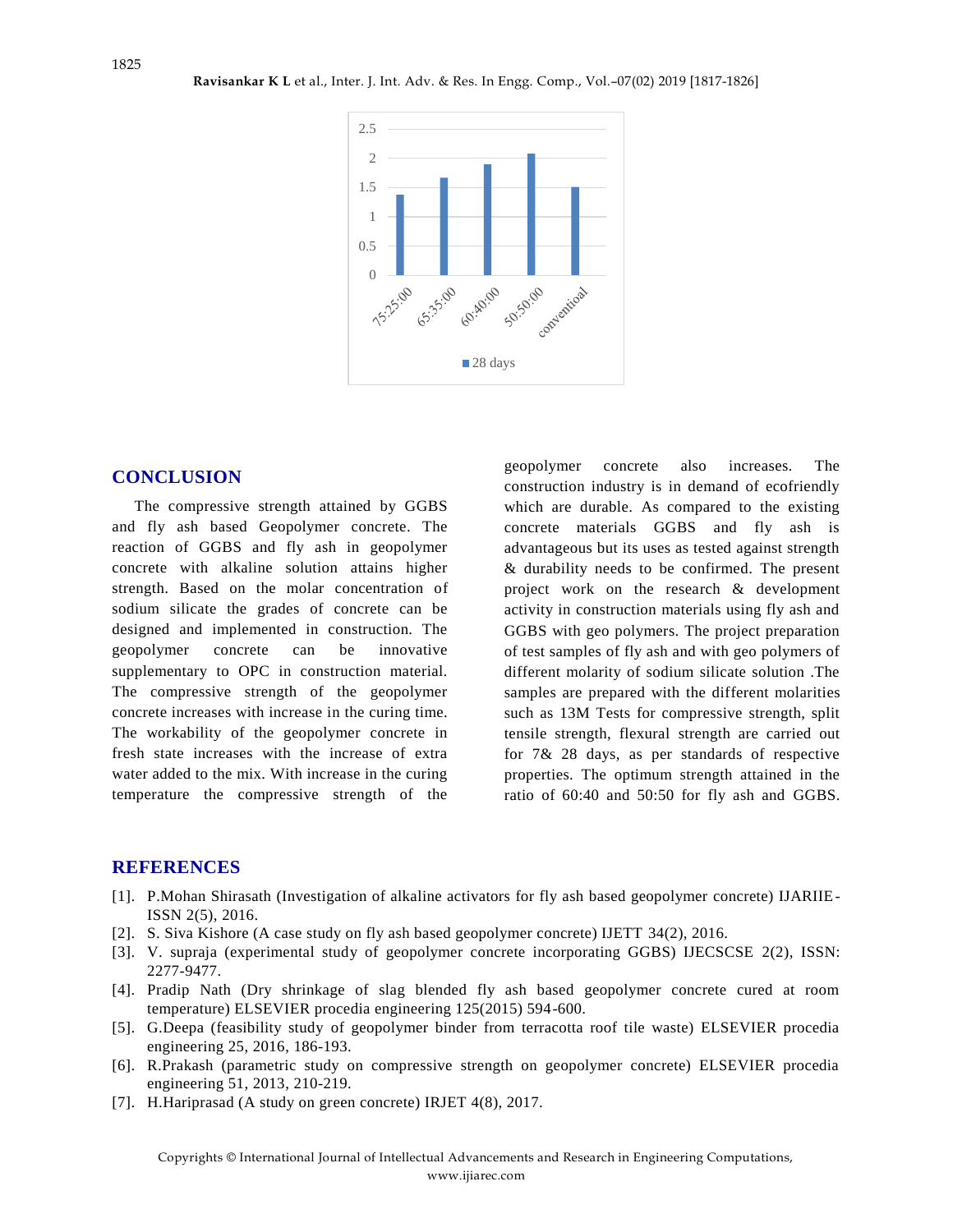

#### **CONCLUSION**

The compressive strength attained by GGBS and fly ash based Geopolymer concrete. The reaction of GGBS and fly ash in geopolymer concrete with alkaline solution attains higher strength. Based on the molar concentration of sodium silicate the grades of concrete can be designed and implemented in construction. The geopolymer concrete can be innovative supplementary to OPC in construction material. The compressive strength of the geopolymer concrete increases with increase in the curing time. The workability of the geopolymer concrete in fresh state increases with the increase of extra water added to the mix. With increase in the curing temperature the compressive strength of the

geopolymer concrete also increases. The construction industry is in demand of ecofriendly which are durable. As compared to the existing concrete materials GGBS and fly ash is advantageous but its uses as tested against strength & durability needs to be confirmed. The present project work on the research & development activity in construction materials using fly ash and GGBS with geo polymers. The project preparation of test samples of fly ash and with geo polymers of different molarity of sodium silicate solution .The samples are prepared with the different molarities such as 13M Tests for compressive strength, split tensile strength, flexural strength are carried out for 7& 28 days, as per standards of respective properties. The optimum strength attained in the ratio of 60:40 and 50:50 for fly ash and GGBS.

#### **REFERENCES**

- [1]. P.Mohan Shirasath (Investigation of alkaline activators for fly ash based geopolymer concrete) IJARIIE-ISSN 2(5), 2016.
- [2]. S. Siva Kishore (A case study on fly ash based geopolymer concrete) IJETT 34(2), 2016.
- [3]. V. supraja (experimental study of geopolymer concrete incorporating GGBS) IJECSCSE 2(2), ISSN: 2277-9477.
- [4]. Pradip Nath (Dry shrinkage of slag blended fly ash based geopolymer concrete cured at room temperature) ELSEVIER procedia engineering 125(2015) 594-600.
- [5]. G.Deepa (feasibility study of geopolymer binder from terracotta roof tile waste) ELSEVIER procedia engineering 25, 2016, 186-193.
- [6]. R.Prakash (parametric study on compressive strength on geopolymer concrete) ELSEVIER procedia engineering 51, 2013, 210-219.
- [7]. H.Hariprasad (A study on green concrete) IRJET 4(8), 2017.